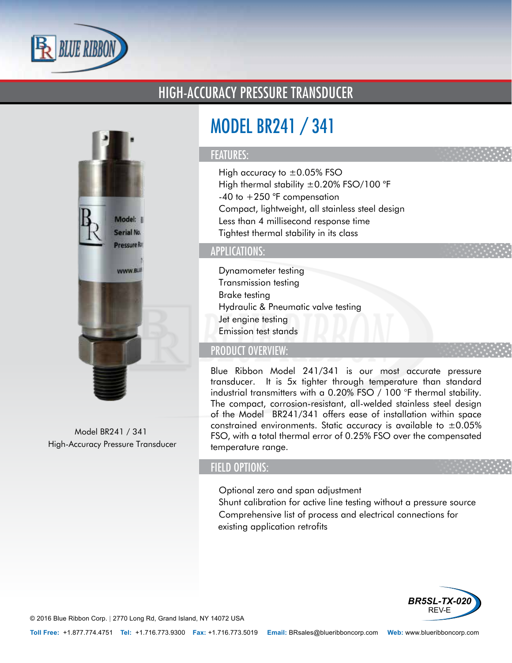

## HIGH-ACCURACY PRESSURE TRANSDUCER



Model BR241 / 341 High-Accuracy Pressure Transducer

# MODEL BR241 / 341

#### FEATURES:

- High accuracy to  $\pm 0.05\%$  FSO
- High thermal stability ±0.20% FSO/100 °F
- $\cdot$  -40 to  $+250$  °F compensation
- Compact, lightweight, all stainless steel design
- Less than 4 millisecond response time
- Tightest thermal stability in its class

### APPLICATIONS:

- Dynamometer testing
- Transmission testing
- Brake testing
- Hydraulic & Pneumatic valve testing
- Jet engine testing
- Emission test stands

## PRODUCT OVERVIEW:

Blue Ribbon Model 241/341 is our most accurate pressure transducer. It is 5x tighter through temperature than standard industrial transmitters with a 0.20% FSO / 100 °F thermal stability. The compact, corrosion-resistant, all-welded stainless steel design of the Model BR241/341 offers ease of installation within space constrained environments. Static accuracy is available to  $\pm 0.05\%$ FSO, with a total thermal error of 0.25% FSO over the compensated temperature range.

### FIELD OPTIONS:

- Optional zero and span adjustment
- Shunt calibration for active line testing without a pressure source
- Comprehensive list of process and electrical connections for existing application retrofits



© 2016 Blue Ribbon Corp. *<sup>|</sup>* 2770 Long Rd, Grand Island, NY 14072 USA